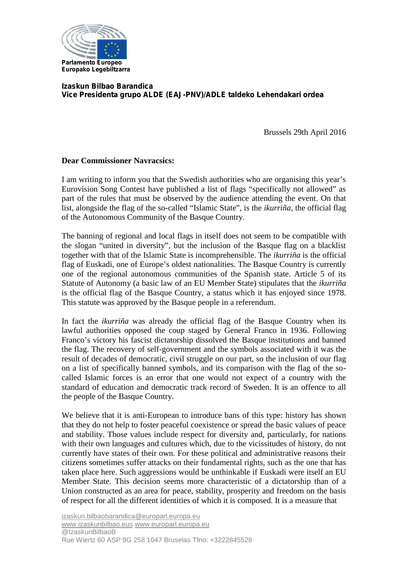

## **Izaskun Bilbao Barandica Vice Presidenta grupo ALDE (EAJ-PNV)/ADLE taldeko Lehendakari ordea**

Brussels 29th April 2016

## **Dear Commissioner Navracsics:**

I am writing to inform you that the Swedish authorities who are organising this year's Eurovision Song Contest have published a list of flags "specifically not allowed" as part of the rules that must be observed by the audience attending the event. On that list, alongside the flag of the so-called "Islamic State", is the *ikurriña*, the official flag of the Autonomous Community of the Basque Country.

The banning of regional and local flags in itself does not seem to be compatible with the slogan "united in diversity", but the inclusion of the Basque flag on a blacklist together with that of the Islamic State is incomprehensible. The *ikurriña* is the official flag of Euskadi, one of Europe's oldest nationalities. The Basque Country is currently one of the regional autonomous communities of the Spanish state. Article 5 of its Statute of Autonomy (a basic law of an EU Member State) stipulates that the *ikurriña* is the official flag of the Basque Country, a status which it has enjoyed since 1978. This statute was approved by the Basque people in a referendum.

In fact the *ikurriña* was already the official flag of the Basque Country when its lawful authorities opposed the coup staged by General Franco in 1936. Following Franco's victory his fascist dictatorship dissolved the Basque institutions and banned the flag. The recovery of self-government and the symbols associated with it was the result of decades of democratic, civil struggle on our part, so the inclusion of our flag on a list of specifically banned symbols, and its comparison with the flag of the so called Islamic forces is an error that one would not expect of a country with the standard of education and democratic track record of Sweden. It is an offence to all the people of the Basque Country.

We believe that it is anti-European to introduce bans of this type: history has shown that they do not help to foster peaceful coexistence or spread the basic values of peace and stability. Those values include respect for diversity and, particularly, for nations with their own languages and cultures which, due to the vicissitudes of history, do not currently have states of their own. For these political and administrative reasons their citizens sometimes suffer attacks on their fundamental rights, such as the one that has taken place here. Such aggressions would be unthinkable if Euskadi were itself an EU Member State. This decision seems more characteristic of a dictatorship than of a Union constructed as an area for peace, stability, prosperity and freedom on the basis of respect for all the different identities of which it is composed. It is a measure that